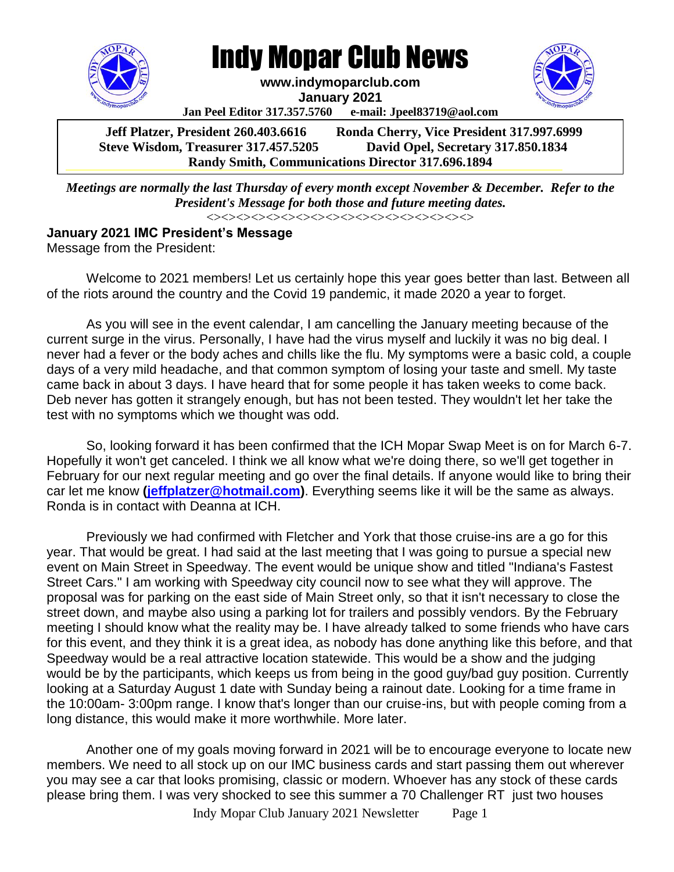

Indy Mopar Club News

**www.indymoparclub.com**

**January 2021**

**Jan Peel Editor 317.357.5760 e-mail: Jpeel83719@aol.com**

**Jeff Platzer, President 260.403.6616 Ronda Cherry, Vice President 317.997.6999 Steve Wisdom, Treasurer 317.457.5205 David Opel, Secretary 317.850.1834 Randy Smith, Communications Director 317.696.1894**

*Meetings are normally the last Thursday of every month except November & December. Refer to the President's Message for both those and future meeting dates.* <><><><><><><><><><><><><><><><><><>  **Steve Wisdom, Treasurer 317.457.5205 Dave Opel, Secretary 317.850.1834 Randy Smith, Communications International Communications Communications International Communications International Communications International Communications International Communications International Communications Inte** 

## **January 2021 IMC President's Message** Message from the President:

Welcome to 2021 members! Let us certainly hope this year goes better than last. Between all of the riots around the country and the Covid 19 pandemic, it made 2020 a year to forget.

As you will see in the event calendar, I am cancelling the January meeting because of the current surge in the virus. Personally, I have had the virus myself and luckily it was no big deal. I never had a fever or the body aches and chills like the flu. My symptoms were a basic cold, a couple days of a very mild headache, and that common symptom of losing your taste and smell. My taste came back in about 3 days. I have heard that for some people it has taken weeks to come back. Deb never has gotten it strangely enough, but has not been tested. They wouldn't let her take the test with no symptoms which we thought was odd.

So, looking forward it has been confirmed that the ICH Mopar Swap Meet is on for March 6-7. Hopefully it won't get canceled. I think we all know what we're doing there, so we'll get together in February for our next regular meeting and go over the final details. If anyone would like to bring their car let me know **[\(jeffplatzer@hotmail.com\)](mailto:jeffplatzer@hotmail.com)**. Everything seems like it will be the same as always. Ronda is in contact with Deanna at ICH.

Previously we had confirmed with Fletcher and York that those cruise-ins are a go for this year. That would be great. I had said at the last meeting that I was going to pursue a special new event on Main Street in Speedway. The event would be unique show and titled "Indiana's Fastest Street Cars." I am working with Speedway city council now to see what they will approve. The proposal was for parking on the east side of Main Street only, so that it isn't necessary to close the street down, and maybe also using a parking lot for trailers and possibly vendors. By the February meeting I should know what the reality may be. I have already talked to some friends who have cars for this event, and they think it is a great idea, as nobody has done anything like this before, and that Speedway would be a real attractive location statewide. This would be a show and the judging would be by the participants, which keeps us from being in the good guy/bad guy position. Currently looking at a Saturday August 1 date with Sunday being a rainout date. Looking for a time frame in the 10:00am- 3:00pm range. I know that's longer than our cruise-ins, but with people coming from a long distance, this would make it more worthwhile. More later.

Another one of my goals moving forward in 2021 will be to encourage everyone to locate new members. We need to all stock up on our IMC business cards and start passing them out wherever you may see a car that looks promising, classic or modern. Whoever has any stock of these cards please bring them. I was very shocked to see this summer a 70 Challenger RT just two houses

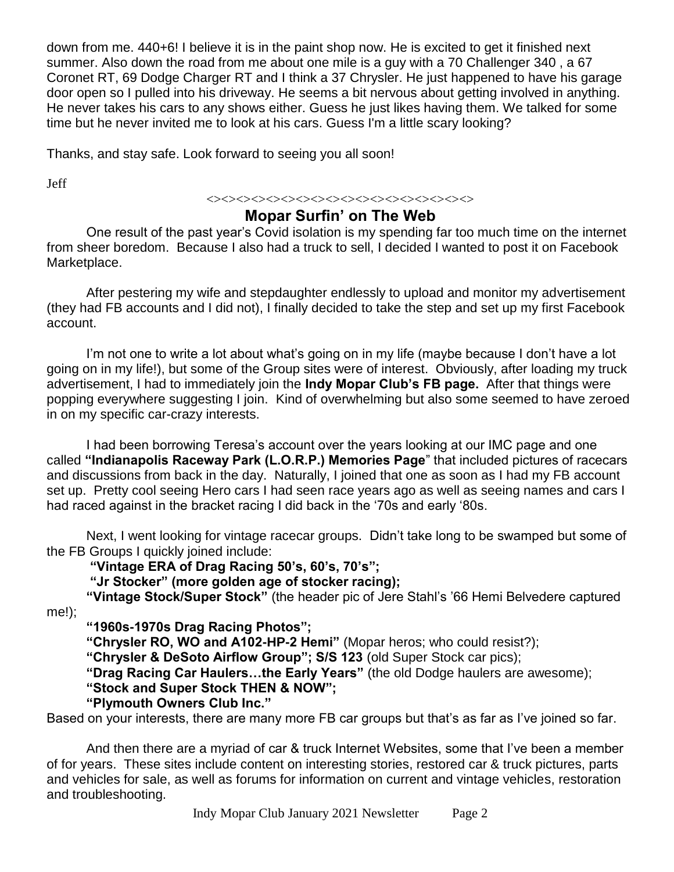down from me. 440+6! I believe it is in the paint shop now. He is excited to get it finished next summer. Also down the road from me about one mile is a guy with a 70 Challenger 340 , a 67 Coronet RT, 69 Dodge Charger RT and I think a 37 Chrysler. He just happened to have his garage door open so I pulled into his driveway. He seems a bit nervous about getting involved in anything. He never takes his cars to any shows either. Guess he just likes having them. We talked for some time but he never invited me to look at his cars. Guess I'm a little scary looking?

Thanks, and stay safe. Look forward to seeing you all soon!

Jeff

## <><><><><><><><><><><><><><><><><><> **Mopar Surfin' on The Web**

One result of the past year's Covid isolation is my spending far too much time on the internet from sheer boredom. Because I also had a truck to sell, I decided I wanted to post it on Facebook Marketplace.

After pestering my wife and stepdaughter endlessly to upload and monitor my advertisement (they had FB accounts and I did not), I finally decided to take the step and set up my first Facebook account.

I'm not one to write a lot about what's going on in my life (maybe because I don't have a lot going on in my life!), but some of the Group sites were of interest. Obviously, after loading my truck advertisement, I had to immediately join the **Indy Mopar Club's FB page.** After that things were popping everywhere suggesting I join. Kind of overwhelming but also some seemed to have zeroed in on my specific car-crazy interests.

I had been borrowing Teresa's account over the years looking at our IMC page and one called **"Indianapolis Raceway Park (L.O.R.P.) Memories Page**" that included pictures of racecars and discussions from back in the day. Naturally, I joined that one as soon as I had my FB account set up. Pretty cool seeing Hero cars I had seen race years ago as well as seeing names and cars I had raced against in the bracket racing I did back in the '70s and early '80s.

Next, I went looking for vintage racecar groups. Didn't take long to be swamped but some of the FB Groups I quickly joined include:

**"Vintage ERA of Drag Racing 50's, 60's, 70's";**

**"Jr Stocker" (more golden age of stocker racing);**

**"Vintage Stock/Super Stock"** (the header pic of Jere Stahl's '66 Hemi Belvedere captured me!);

**"1960s-1970s Drag Racing Photos";**

**"Chrysler RO, WO and A102-HP-2 Hemi"** (Mopar heros; who could resist?);

**"Chrysler & DeSoto Airflow Group"; S/S 123** (old Super Stock car pics);

**"Drag Racing Car Haulers…the Early Years"** (the old Dodge haulers are awesome);

**"Stock and Super Stock THEN & NOW";**

**"Plymouth Owners Club Inc."**

Based on your interests, there are many more FB car groups but that's as far as I've joined so far.

And then there are a myriad of car & truck Internet Websites, some that I've been a member of for years. These sites include content on interesting stories, restored car & truck pictures, parts and vehicles for sale, as well as forums for information on current and vintage vehicles, restoration and troubleshooting.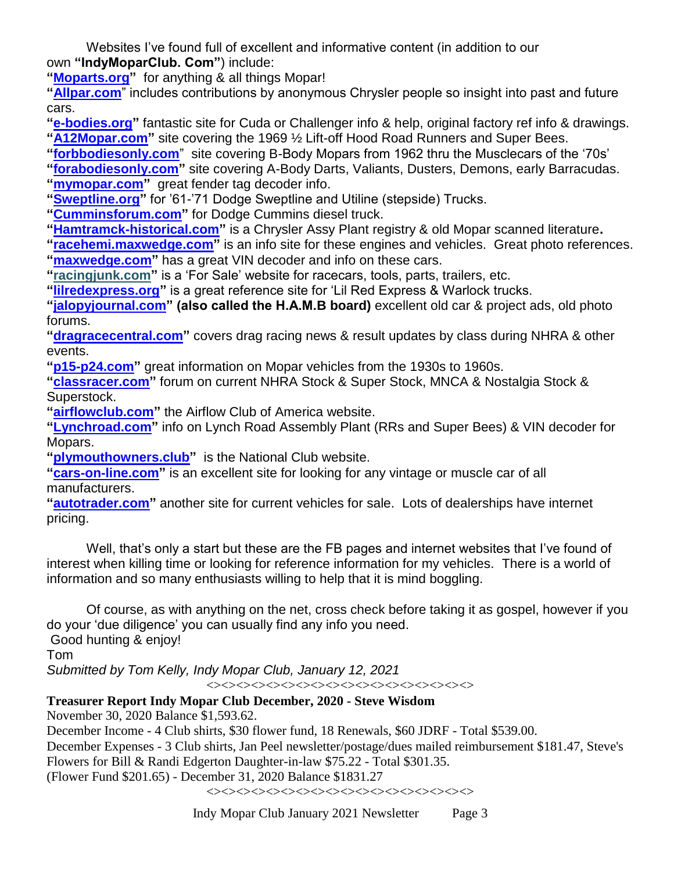Websites I've found full of excellent and informative content (in addition to our own **"IndyMoparClub. Com"**) include:

**["Moparts.org"](http://moparts.org/)** for anything & all things Mopar!

**["Allpar.com](http://allpar.com/)**" includes contributions by anonymous Chrysler people so insight into past and future cars.

**["e-bodies.org"](http://e-bodies.org/)** fantastic site for Cuda or Challenger info & help, original factory ref info & drawings. **["A12Mopar.com"](http://a12mopar.com/)** site covering the 1969 ½ Lift-off Hood Road Runners and Super Bees.

**["forbbodiesonly.com](http://forbbodiesonly.com/)**" site covering B-Body Mopars from 1962 thru the Musclecars of the '70s' **["forabodiesonly.com"](http://forabodiesonly.com/)** site covering A-Body Darts, Valiants, Dusters, Demons, early Barracudas.

**["mymopar.com"](http://mymopar.com/)** great fender tag decoder info.

**["Sweptline.org"](http://sweptline.org/)** for '61-'71 Dodge Sweptline and Utiline (stepside) Trucks.

**["Cumminsforum.com"](http://cumminsforum.com/)** for Dodge Cummins diesel truck.

**["Hamtramck-historical.com"](http://hamtramck-historical.com/)** is a Chrysler Assy Plant registry & old Mopar scanned literature**.**

**["racehemi.maxwedge.com"](http://racehemi.maxwedge.com/)** is an info site for these engines and vehicles. Great photo references. **["maxwedge.com"](http://maxwedge.com/)** has a great VIN decoder and info on these cars.

**"racingjunk.com"** is a 'For Sale' website for racecars, tools, parts, trailers, etc.

**["lilredexpress.org"](http://lilredexpress.org/)** is a great reference site for 'Lil Red Express & Warlock trucks.

**["jalopyjournal.com"](http://jalopyjournal.com/) (also called the H.A.M.B board)** excellent old car & project ads, old photo forums.

**["dragracecentral.com"](http://dragracecentral.com/)** covers drag racing news & result updates by class during NHRA & other events.

**["p15-p24.com"](http://p15-p24.com/)** great information on Mopar vehicles from the 1930s to 1960s.

**["classracer.com"](http://classracer.com/)** forum on current NHRA Stock & Super Stock, MNCA & Nostalgia Stock & Superstock.

**["airflowclub.com"](http://airflowclub.com/)** the Airflow Club of America website.

**["Lynchroad.com"](http://lynchroad.com/)** info on Lynch Road Assembly Plant (RRs and Super Bees) & VIN decoder for Mopars.

**["plymouthowners.club"](http://plymouthowners.club/)** is the National Club website.

**["cars-on-line.com"](http://cars-on-line.com/)** is an excellent site for looking for any vintage or muscle car of all manufacturers.

**["autotrader.com"](http://autotrader.com/)** another site for current vehicles for sale. Lots of dealerships have internet pricing.

Well, that's only a start but these are the FB pages and internet websites that I've found of interest when killing time or looking for reference information for my vehicles. There is a world of information and so many enthusiasts willing to help that it is mind boggling.

Of course, as with anything on the net, cross check before taking it as gospel, however if you do your 'due diligence' you can usually find any info you need. Good hunting & enjoy!

Tom

*Submitted by Tom Kelly, Indy Mopar Club, January 12, 2021*

<><><><><><><><><><><><><><><><><><>

## **Treasurer Report Indy Mopar Club December, 2020 - Steve Wisdom**

November 30, 2020 Balance \$1,593.62.

December Income - 4 Club shirts, \$30 flower fund, 18 Renewals, \$60 JDRF - Total \$539.00. December Expenses - 3 Club shirts, Jan Peel newsletter/postage/dues mailed reimbursement \$181.47, Steve's Flowers for Bill & Randi Edgerton Daughter-in-law \$75.22 - Total \$301.35. (Flower Fund \$201.65) - December 31, 2020 Balance \$1831.27

<><><><><><><><><><><><><><><><><><>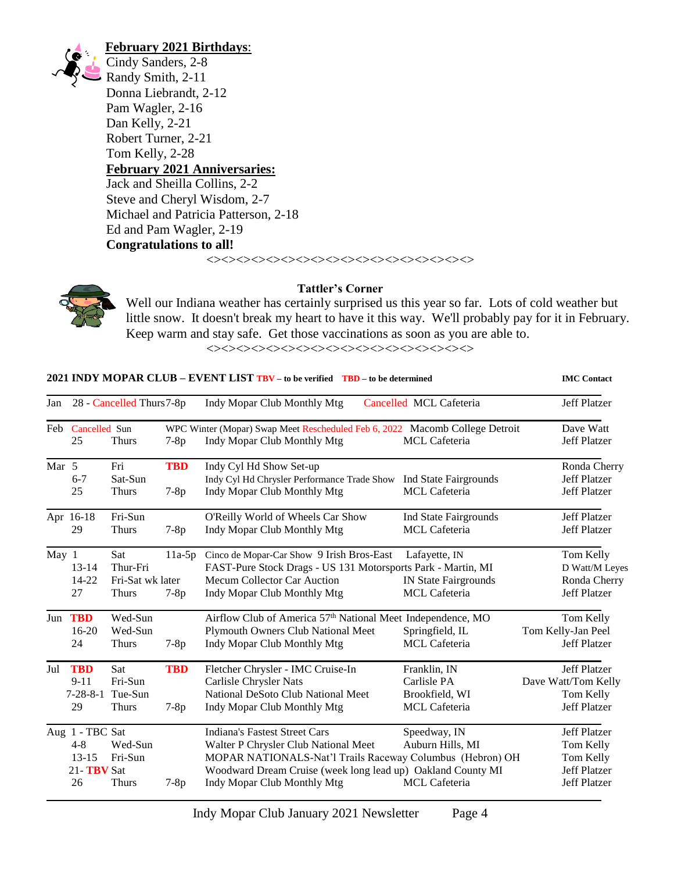

## **February 2021 Birthdays**:

Cindy Sanders, 2-8 Randy Smith, 2-11 Donna Liebrandt, 2-12 Pam Wagler, 2-16 Dan Kelly, 2-21 Robert Turner, 2-21 Tom Kelly, 2-28 **February 2021 Anniversaries:** Jack and Sheilla Collins, 2-2 Steve and Cheryl Wisdom, 2-7 Michael and Patricia Patterson, 2-18 Ed and Pam Wagler, 2-19 **Congratulations to all!**

<><><><><><><><><><><><><><><><><><>



**Tattler's Corner**

Well our Indiana weather has certainly surprised us this year so far. Lots of cold weather but little snow. It doesn't break my heart to have it this way. We'll probably pay for it in February. Keep warm and stay safe. Get those vaccinations as soon as you are able to.

<><><><><><><><><><><><><><><><><><>

**2021 INDY MOPAR CLUB – EVENT LIST TBV – to be verified TBD – to be determined IMC Contact**

| Jan              | 28 - Cancelled Thurs 7-8p                                   |                                                     |                      | Indy Mopar Club Monthly Mtg<br>Cancelled MCL Cafeteria                                                                                                                                                                                  | <b>Jeff Platzer</b>                                                   |                                                                                             |
|------------------|-------------------------------------------------------------|-----------------------------------------------------|----------------------|-----------------------------------------------------------------------------------------------------------------------------------------------------------------------------------------------------------------------------------------|-----------------------------------------------------------------------|---------------------------------------------------------------------------------------------|
|                  | Feb Cancelled Sun<br>25                                     | <b>Thurs</b>                                        | $7-8p$               | WPC Winter (Mopar) Swap Meet Rescheduled Feb 6, 2022 Macomb College Detroit<br>Indy Mopar Club Monthly Mtg                                                                                                                              | MCL Cafeteria                                                         | Dave Watt<br><b>Jeff Platzer</b>                                                            |
| Mar <sub>5</sub> | $6 - 7$<br>25                                               | Fri<br>Sat-Sun<br><b>Thurs</b>                      | <b>TBD</b><br>$7-8p$ | Indy Cyl Hd Show Set-up<br>Indy Cyl Hd Chrysler Performance Trade Show<br>Indy Mopar Club Monthly Mtg                                                                                                                                   | Ind State Fairgrounds<br><b>MCL</b> Cafeteria                         | Ronda Cherry<br><b>Jeff Platzer</b><br>Jeff Platzer                                         |
|                  | Apr 16-18<br>29                                             | Fri-Sun<br><b>Thurs</b>                             | $7-8p$               | O'Reilly World of Wheels Car Show<br>Indy Mopar Club Monthly Mtg                                                                                                                                                                        | Ind State Fairgrounds<br><b>MCL</b> Cafeteria                         | <b>Jeff Platzer</b><br><b>Jeff Platzer</b>                                                  |
| May 1            | $13 - 14$<br>14-22<br>27                                    | Sat<br>Thur-Fri<br>Fri-Sat wk later<br><b>Thurs</b> | $11a-5p$<br>$7-8p$   | Cinco de Mopar-Car Show 9 Irish Bros-East<br>FAST-Pure Stock Drags - US 131 Motorsports Park - Martin, MI<br>Mecum Collector Car Auction<br>Indy Mopar Club Monthly Mtg                                                                 | Lafayette, IN<br><b>IN State Fairgrounds</b><br><b>MCL</b> Cafeteria  | Tom Kelly<br>D Watt/M Leyes<br>Ronda Cherry<br><b>Jeff Platzer</b>                          |
| Jun              | <b>TBD</b><br>$16-20$<br>24                                 | Wed-Sun<br>Wed-Sun<br><b>Thurs</b>                  | $7-8p$               | Airflow Club of America 57 <sup>th</sup> National Meet Independence, MO<br><b>Plymouth Owners Club National Meet</b><br>Indy Mopar Club Monthly Mtg                                                                                     | Springfield, IL<br><b>MCL</b> Cafeteria                               | Tom Kelly<br>Tom Kelly-Jan Peel<br><b>Jeff Platzer</b>                                      |
| Jul              | <b>TBD</b><br>$9-11$<br>$7 - 28 - 8 - 1$<br>29              | <b>Sat</b><br>Fri-Sun<br>Tue-Sun<br><b>Thurs</b>    | <b>TBD</b><br>$7-8p$ | Fletcher Chrysler - IMC Cruise-In<br>Carlisle Chrysler Nats<br>National DeSoto Club National Meet<br>Indy Mopar Club Monthly Mtg                                                                                                        | Franklin, IN<br>Carlisle PA<br>Brookfield, WI<br><b>MCL</b> Cafeteria | <b>Jeff Platzer</b><br>Dave Watt/Tom Kelly<br>Tom Kelly<br><b>Jeff Platzer</b>              |
|                  | Aug 1 - TBC Sat<br>$4 - 8$<br>$13 - 15$<br>21-TBV Sat<br>26 | Wed-Sun<br>Fri-Sun<br><b>Thurs</b>                  | $7-8p$               | <b>Indiana's Fastest Street Cars</b><br>Walter P Chrysler Club National Meet<br>MOPAR NATIONALS-Nat'l Trails Raceway Columbus (Hebron) OH<br>Woodward Dream Cruise (week long lead up) Oakland County MI<br>Indy Mopar Club Monthly Mtg | Speedway, IN<br>Auburn Hills, MI<br><b>MCL</b> Cafeteria              | <b>Jeff Platzer</b><br>Tom Kelly<br>Tom Kelly<br><b>Jeff Platzer</b><br><b>Jeff Platzer</b> |